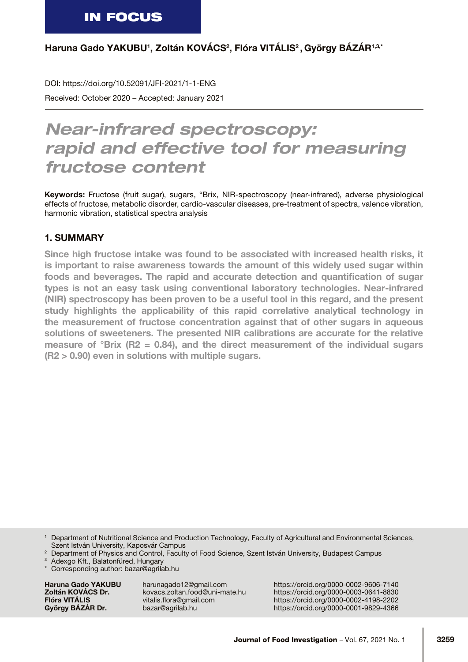Haruna Gado YAKUBU<sup>1</sup>, Zoltán KOVÁCS<sup>2</sup>, Flóra VITÁLIS<sup>2</sup>, György BÁZÁR1,3,\*

Received: October 2020 – Accepted: January 2021 DOI: https://doi.org/10.52091/JFI-2021/1-1-ENG

# *Near-infrared spectroscopy: rapid and effective tool for measuring fructose content*

Keywords: Fructose (fruit sugar), sugars, °Brix, NIR-spectroscopy (near-infrared), adverse physiological effects of fructose, metabolic disorder, cardio-vascular diseases, pre-treatment of spectra, valence vibration, harmonic vibration, statistical spectra analysis

## 1. SUMMARY

Since high fructose intake was found to be associated with increased health risks, it is important to raise awareness towards the amount of this widely used sugar within foods and beverages. The rapid and accurate detection and quantification of sugar types is not an easy task using conventional laboratory technologies. Near-infrared (NIR) spectroscopy has been proven to be a useful tool in this regard, and the present study highlights the applicability of this rapid correlative analytical technology in the measurement of fructose concentration against that of other sugars in aqueous solutions of sweeteners. The presented NIR calibrations are accurate for the relative measure of °Brix (R2 = 0.84), and the direct measurement of the individual sugars (R2 > 0.90) even in solutions with multiple sugars.

<sup>1</sup> Department of Nutritional Science and Production Technology, Faculty of Agricultural and Environmental Sciences, Szent István University, Kaposvár Campus

<sup>2</sup> Department of Physics and Control, Faculty of Food Science, Szent István University, Budapest Campus

Adexgo Kft., Balatonfüred, Hungary

Haruna Gado YAKUBU harunagado12@gmail.com https://orcid.org/0000-0002-9606-7140<br>
Zoltán KOVÁCS Dr. kovacs.zoltan.food@uni-mate.hu https://orcid.org/0000-0003-0641-8830 **Zoltán KOVÁCS Dr.** kovacs.zoltan.food@uni-mate.hu https://orcid.org/0000-0003-0641-8830<br>Flóra VITÁLIS vitalis.flora@gmail.com https://orcid.org/0000-0002-4198-2202 Flóra VITÁLIS vitalis.flora@gmail.com https://orcid.org/0000-0002-4198-2202<br>György BÁZÁR Dr. bazar@agrilab.hu https://orcid.org/0000-0001-9829-4366 bazar@agrilab.hu https://orcid.org/0000-0001-9829-4366

Corresponding author: [bazar@agrilab.hu](mailto:bazar@agrilab.hu)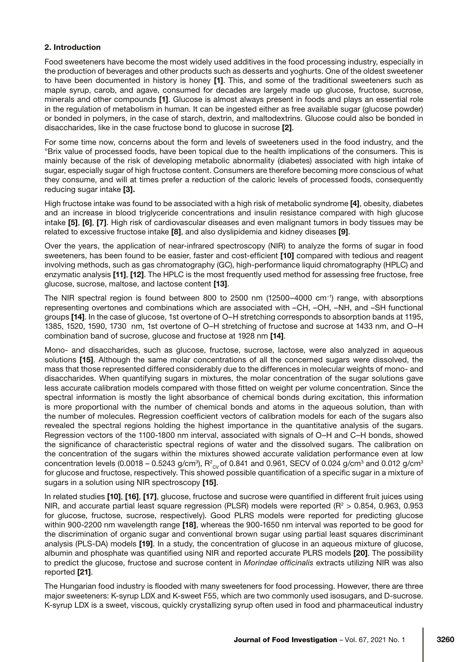## 2. Introduction

Food sweeteners have become the most widely used additives in the food processing industry, especially in the production of beverages and other products such as desserts and yoghurts. One of the oldest sweetener to have been documented in history is honey [1]. This, and some of the traditional sweeteners such as maple syrup, carob, and agave, consumed for decades are largely made up glucose, fructose, sucrose, minerals and other compounds [1]. Glucose is almost always present in foods and plays an essential role in the regulation of metabolism in human. It can be ingested either as free available sugar (glucose powder) or bonded in polymers, in the case of starch, dextrin, and maltodextrins. Glucose could also be bonded in disaccharides, like in the case fructose bond to glucose in sucrose [2].

For some time now, concerns about the form and levels of sweeteners used in the food industry, and the °Brix value of processed foods, have been topical due to the health implications of the consumers. This is mainly because of the risk of developing metabolic abnormality (diabetes) associated with high intake of sugar, especially sugar of high fructose content. Consumers are therefore becoming more conscious of what they consume, and will at times prefer a reduction of the caloric levels of processed foods, consequently reducing sugar intake [3].

High fructose intake was found to be associated with a high risk of metabolic syndrome [4], obesity, diabetes and an increase in blood triglyceride concentrations and insulin resistance compared with high glucose intake [5], [6], [7]. High risk of cardiovascular diseases and even malignant tumors in body tissues may be related to excessive fructose intake [8], and also dyslipidemia and kidney diseases [9].

Over the years, the application of near-infrared spectroscopy (NIR) to analyze the forms of sugar in food sweeteners, has been found to be easier, faster and cost-efficient [10] compared with tedious and reagent involving methods, such as gas chromatography (GC), high-performance liquid chromatography (HPLC) and enzymatic analysis [11], [12]. The HPLC is the most frequently used method for assessing free fructose, free glucose, sucrose, maltose, and lactose content [13].

The NIR spectral region is found between 800 to 2500 nm (12500–4000 cm−1) range, with absorptions representing overtones and combinations which are associated with –CH, –OH, –NH, and –SH functional groups [14]. In the case of glucose, 1st overtone of O–H stretching corresponds to absorption bands at 1195, 1385, 1520, 1590, 1730 nm, 1st overtone of O–H stretching of fructose and sucrose at 1433 nm, and O–H combination band of sucrose, glucose and fructose at 1928 nm [14].

Mono- and disaccharides, such as glucose, fructose, sucrose, lactose, were also analyzed in aqueous solutions [15]. Although the same molar concentrations of all the concerned sugars were dissolved, the mass that those represented differed considerably due to the differences in molecular weights of mono- and disaccharides. When quantifying sugars in mixtures, the molar concentration of the sugar solutions gave less accurate calibration models compared with those fitted on weight per volume concentration. Since the spectral information is mostly the light absorbance of chemical bonds during excitation, this information is more proportional with the number of chemical bonds and atoms in the aqueous solution, than with the number of molecules. Regression coefficient vectors of calibration models for each of the sugars also revealed the spectral regions holding the highest importance in the quantitative analysis of the sugars. Regression vectors of the 1100-1800 nm interval, associated with signals of O–H and C–H bonds, showed the significance of characteristic spectral regions of water and the dissolved sugars. The calibration on the concentration of the sugars within the mixtures showed accurate validation performance even at low concentration levels (0.0018 – 0.5243 g/cm $^{\circ}$ ), R $^{\circ}{}_{\rm{cv}}$ of 0.841 and 0.961, SECV of 0.024 g/cm $^{\rm{3}}$  and 0.012 g/cm $^{\rm{3}}$ for glucose and fructose, respectively. This showed possible quantification of a specific sugar in a mixture of sugars in a solution using NIR spectroscopy [15].

In related studies [10], [16], [17], glucose, fructose and sucrose were quantified in different fruit juices using NIR, and accurate partial least square regression (PLSR) models were reported ( $R^2 > 0.854$ , 0.963, 0.953 for glucose, fructose, sucrose, respectively). Good PLRS models were reported for predicting glucose within 900-2200 nm wavelength range [18], whereas the 900-1650 nm interval was reported to be good for the discrimination of organic sugar and conventional brown sugar using partial least squares discriminant analysis (PLS-DA) models [19]. In a study, the concentration of glucose in an aqueous mixture of glucose, albumin and phosphate was quantified using NIR and reported accurate PLRS models [20]. The possibility to predict the glucose, fructose and sucrose content in *Morindae officinalis* extracts utilizing NIR was also reported [21].

The Hungarian food industry is flooded with many sweeteners for food processing. However, there are three major sweeteners: K-syrup LDX and K-sweet F55, which are two commonly used isosugars, and D-sucrose. K-syrup LDX is a sweet, viscous, quickly crystallizing syrup often used in food and pharmaceutical industry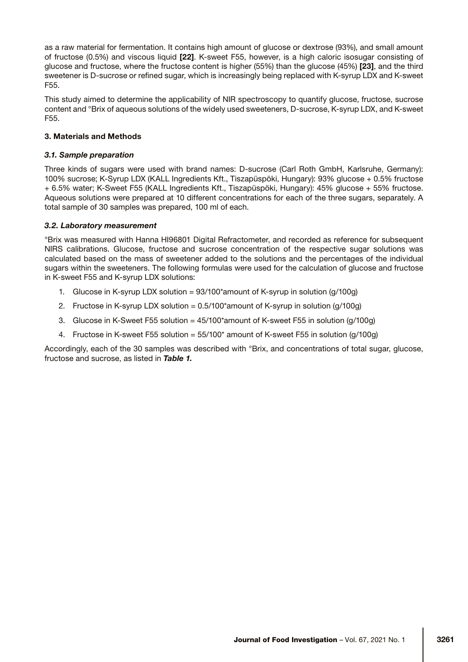as a raw material for fermentation. It contains high amount of glucose or dextrose (93%), and small amount of fructose (0.5%) and viscous liquid [22]. K-sweet F55, however, is a high caloric isosugar consisting of glucose and fructose, where the fructose content is higher (55%) than the glucose (45%) [23], and the third sweetener is D-sucrose or refined sugar, which is increasingly being replaced with K-syrup LDX and K-sweet F55.

This study aimed to determine the applicability of NIR spectroscopy to quantify glucose, fructose, sucrose content and °Brix of aqueous solutions of the widely used sweeteners, D-sucrose, K-syrup LDX, and K-sweet F55.

## 3. Materials and Methods

## *3.1. Sample preparation*

Three kinds of sugars were used with brand names: D-sucrose (Carl Roth GmbH, Karlsruhe, Germany): 100% sucrose; K-Syrup LDX (KALL Ingredients Kft., Tiszapüspöki, Hungary): 93% glucose + 0.5% fructose + 6.5% water; K-Sweet F55 (KALL Ingredients Kft., Tiszapüspöki, Hungary): 45% glucose + 55% fructose. Aqueous solutions were prepared at 10 different concentrations for each of the three sugars, separately. A total sample of 30 samples was prepared, 100 ml of each.

## *3.2. Laboratory measurement*

°Brix was measured with Hanna HI96801 Digital Refractometer, and recorded as reference for subsequent NIRS calibrations. Glucose, fructose and sucrose concentration of the respective sugar solutions was calculated based on the mass of sweetener added to the solutions and the percentages of the individual sugars within the sweeteners. The following formulas were used for the calculation of glucose and fructose in K-sweet F55 and K-syrup LDX solutions:

- 1. Glucose in K-syrup LDX solution = 93/100\*amount of K-syrup in solution (g/100g)
- 2. Fructose in K-syrup LDX solution = 0.5/100\*amount of K-syrup in solution (g/100g)
- 3. Glucose in K-Sweet F55 solution = 45/100\*amount of K-sweet F55 in solution (g/100g)
- 4. Fructose in K-sweet F55 solution = 55/100\* amount of K-sweet F55 in solution (g/100g)

Accordingly, each of the 30 samples was described with °Brix, and concentrations of total sugar, glucose, fructose and sucrose, as listed in *Table 1.*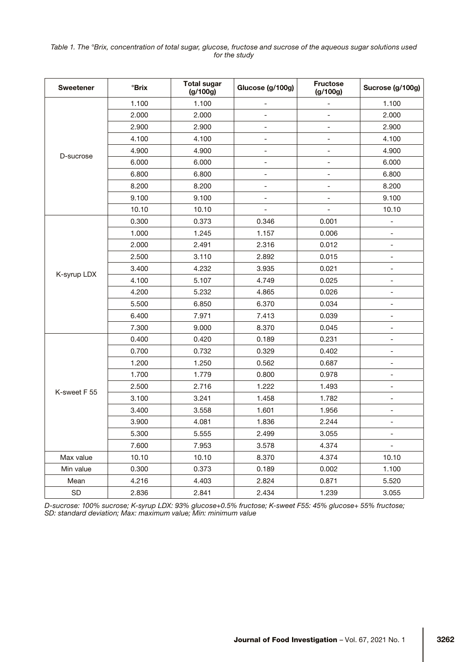#### *Table 1. The °Brix, concentration of total sugar, glucose, fructose and sucrose of the aqueous sugar solutions used for the study*

| <b>Sweetener</b> | <b>Brix</b> | <b>Total sugar</b><br>(g/100g) | Glucose (g/100g)         | <b>Fructose</b><br>(g/100g) | Sucrose (g/100g)             |  |
|------------------|-------------|--------------------------------|--------------------------|-----------------------------|------------------------------|--|
| D-sucrose        | 1.100       | 1.100                          |                          |                             | 1.100                        |  |
|                  | 2.000       | 2.000                          | $\overline{\phantom{m}}$ | -                           | 2.000                        |  |
|                  | 2.900       | 2.900                          | $\overline{\phantom{m}}$ | $\overline{a}$              | 2.900                        |  |
|                  | 4.100       | 4.100                          | $\overline{\phantom{a}}$ | -                           | 4.100                        |  |
|                  | 4.900       | 4.900                          | $\overline{\phantom{a}}$ | -                           | 4.900                        |  |
|                  | 6.000       | 6.000                          | $\overline{\phantom{a}}$ | $\overline{\phantom{0}}$    | 6.000                        |  |
|                  | 6.800       | 6.800                          | $\overline{\phantom{a}}$ | -                           | 6.800                        |  |
|                  | 8.200       | 8.200                          | $\overline{\phantom{a}}$ | -                           | 8.200                        |  |
|                  | 9.100       | 9.100                          | $\overline{\phantom{a}}$ | -                           | 9.100                        |  |
|                  | 10.10       | 10.10                          | $\overline{\phantom{a}}$ | -                           | 10.10                        |  |
| K-syrup LDX      | 0.300       | 0.373                          | 0.346                    | 0.001                       | $\overline{\phantom{0}}$     |  |
|                  | 1.000       | 1.245                          | 1.157                    | 0.006                       | $\overline{\phantom{0}}$     |  |
|                  | 2.000       | 2.491                          | 2.316                    | 0.012                       | -                            |  |
|                  | 2.500       | 3.110                          | 2.892                    | 0.015                       | $\overline{\phantom{a}}$     |  |
|                  | 3.400       | 4.232                          | 3.935                    | 0.021                       | $\overline{\phantom{a}}$     |  |
|                  | 4.100       | 5.107                          | 4.749                    | 0.025                       | $\overline{\phantom{0}}$     |  |
|                  | 4.200       | 5.232                          | 4.865                    | 0.026                       | -                            |  |
|                  | 5.500       | 6.850                          | 6.370                    | 0.034                       | $\qquad \qquad \blacksquare$ |  |
|                  | 6.400       | 7.971                          | 7.413                    | 0.039                       | $\overline{\phantom{0}}$     |  |
|                  | 7.300       | 9.000                          | 8.370                    | 0.045                       | $\overline{\phantom{0}}$     |  |
| K-sweet F 55     | 0.400       | 0.420                          | 0.189                    | 0.231                       | -                            |  |
|                  | 0.700       | 0.732                          | 0.329                    | 0.402                       | $\qquad \qquad \blacksquare$ |  |
|                  | 1.200       | 1.250                          | 0.562                    | 0.687                       | $\overline{\phantom{a}}$     |  |
|                  | 1.700       | 1.779                          | 0.800                    | 0.978                       | $\overline{\phantom{a}}$     |  |
|                  | 2.500       | 2.716                          | 1.222                    | 1.493                       | -                            |  |
|                  | 3.100       | 3.241                          | 1.458                    | 1.782                       | $\overline{\phantom{a}}$     |  |
|                  | 3.400       | 3.558                          | 1.601                    | 1.956                       | $\overline{\phantom{a}}$     |  |
|                  | 3.900       | 4.081                          | 1.836                    | 2.244                       | $\overline{\phantom{a}}$     |  |
|                  | 5.300       | 5.555                          | 2.499                    | 3.055                       |                              |  |
|                  | 7.600       | 7.953                          | 3.578                    | 4.374                       |                              |  |
| Max value        | 10.10       | 10.10                          | 8.370                    | 4.374                       | 10.10                        |  |
| Min value        | 0.300       | 0.373                          | 0.189                    | 0.002                       | 1.100                        |  |
| Mean             | 4.216       | 4.403                          | 2.824                    | 0.871                       | 5.520                        |  |
| SD               | 2.836       | 2.841                          | 2.434                    | 1.239                       | 3.055                        |  |

*D-sucrose: 100% sucrose; K-syrup LDX: 93% glucose+0.5% fructose; K-sweet F55: 45% glucose+ 55% fructose; SD: standard deviation; Max: maximum value; Min: minimum value*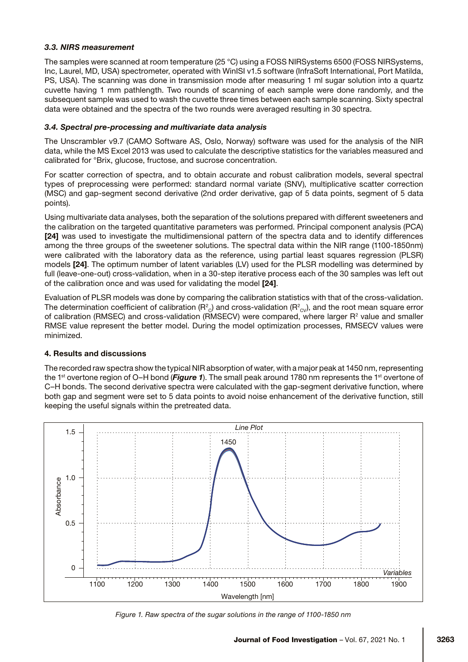## *3.3. NIRS measurement*

The samples were scanned at room temperature (25 °C) using a FOSS NIRSystems 6500 (FOSS NIRSystems, Inc, Laurel, MD, USA) spectrometer, operated with WinISI v1.5 software (InfraSoft International, Port Matilda, PS, USA). The scanning was done in transmission mode after measuring 1 ml sugar solution into a quartz cuvette having 1 mm pathlength. Two rounds of scanning of each sample were done randomly, and the subsequent sample was used to wash the cuvette three times between each sample scanning. Sixty spectral data were obtained and the spectra of the two rounds were averaged resulting in 30 spectra.

## *3.4. Spectral pre-processing and multivariate data analysis*

The Unscrambler v9.7 (CAMO Software AS, Oslo, Norway) software was used for the analysis of the NIR data, while the MS Excel 2013 was used to calculate the descriptive statistics for the variables measured and calibrated for °Brix, glucose, fructose, and sucrose concentration.

For scatter correction of spectra, and to obtain accurate and robust calibration models, several spectral types of preprocessing were performed: standard normal variate (SNV), multiplicative scatter correction (MSC) and gap-segment second derivative (2nd order derivative, gap of 5 data points, segment of 5 data points).

Using multivariate data analyses, both the separation of the solutions prepared with different sweeteners and the calibration on the targeted quantitative parameters was performed. Principal component analysis (PCA) [24] was used to investigate the multidimensional pattern of the spectra data and to identify differences among the three groups of the sweetener solutions. The spectral data within the NIR range (1100-1850nm) were calibrated with the laboratory data as the reference, using partial least squares regression (PLSR) models [24]. The optimum number of latent variables (LV) used for the PLSR modelling was determined by full (leave-one-out) cross-validation, when in a 30-step iterative process each of the 30 samples was left out of the calibration once and was used for validating the model [24].

Evaluation of PLSR models was done by comparing the calibration statistics with that of the cross-validation. The determination coefficient of calibration (R $^2_{\rm c}$ ) and cross-validation (R $^2_{\rm cv}$ ), and the root mean square error of calibration (RMSEC) and cross-validation (RMSECV) were compared, where larger R<sup>2</sup> value and smaller RMSE value represent the better model. During the model optimization processes, RMSECV values were minimized.

## 4. Results and discussions

The recorded raw spectra show the typical NIR absorption of water, with a major peak at 1450 nm, representing the 1st overtone region of O–H bond (*Figure 1*). The small peak around 1780 nm represents the 1st overtone of C–H bonds. The second derivative spectra were calculated with the gap-segment derivative function, where both gap and segment were set to 5 data points to avoid noise enhancement of the derivative function, still keeping the useful signals within the pretreated data.



*Figure 1. Raw spectra of the sugar solutions in the range of 1100-1850 nm*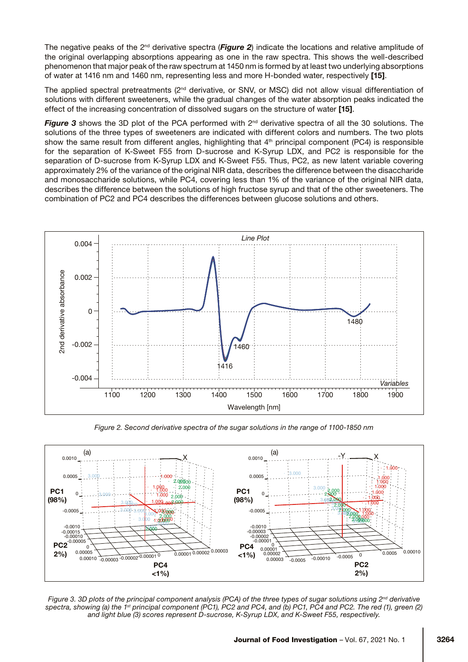The negative peaks of the 2nd derivative spectra (*Figure 2*) indicate the locations and relative amplitude of the original overlapping absorptions appearing as one in the raw spectra. This shows the well-described phenomenon that major peak of the raw spectrum at 1450 nm is formed by at least two underlying absorptions of water at 1416 nm and 1460 nm, representing less and more H-bonded water, respectively [15].

The applied spectral pretreatments (2<sup>nd</sup> derivative, or SNV, or MSC) did not allow visual differentiation of solutions with different sweeteners, while the gradual changes of the water absorption peaks indicated the effect of the increasing concentration of dissolved sugars on the structure of water [15].

**Figure 3** shows the 3D plot of the PCA performed with  $2^{nd}$  derivative spectra of all the 30 solutions. The solutions of the three types of sweeteners are indicated with different colors and numbers. The two plots show the same result from different angles, highlighting that 4<sup>th</sup> principal component (PC4) is responsible for the separation of K-Sweet F55 from D-sucrose and K-Syrup LDX, and PC2 is responsible for the separation of D-sucrose from K-Syrup LDX and K-Sweet F55. Thus, PC2, as new latent variable covering approximately 2% of the variance of the original NIR data, describes the difference between the disaccharide and monosaccharide solutions, while PC4, covering less than 1% of the variance of the original NIR data, describes the difference between the solutions of high fructose syrup and that of the other sweeteners. The combination of PC2 and PC4 describes the differences between glucose solutions and others.



*Figure 2. Second derivative spectra of the sugar solutions in the range of 1100-1850 nm*



*Figure 3. 3D plots of the principal component analysis (PCA) of the three types of sugar solutions using 2nd derivative*  spectra, showing (a) the 1<sup>st</sup> principal component (PC1), PC2 and PC4, and (b) PC1, PC4 and PC2. The red (1), green (2) *and light blue (3) scores represent D-sucrose, K-Syrup LDX, and K-Sweet F55, respectively.*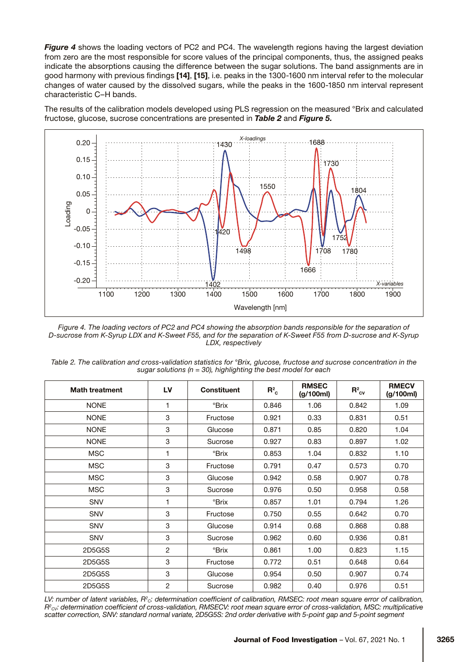**Figure 4** shows the loading vectors of PC2 and PC4. The wavelength regions having the largest deviation from zero are the most responsible for score values of the principal components, thus, the assigned peaks indicate the absorptions causing the difference between the sugar solutions. The band assignments are in good harmony with previous findings [14], [15], i.e. peaks in the 1300-1600 nm interval refer to the molecular changes of water caused by the dissolved sugars, while the peaks in the 1600-1850 nm interval represent characteristic C–H bands.

The results of the calibration models developed using PLS regression on the measured °Brix and calculated fructose, glucose, sucrose concentrations are presented in *Table 2* and *Figure 5.*



*Figure 4. The loading vectors of PC2 and PC4 showing the absorption bands responsible for the separation of D-sucrose from K-Syrup LDX and K-Sweet F55, and for the separation of K-Sweet F55 from D-sucrose and K-Syrup LDX, respectively*

*Table 2. The calibration and cross-validation statistics for °Brix, glucose, fructose and sucrose concentration in the sugar solutions (n = 30), highlighting the best model for each* 

| <b>Math treatment</b> | LV             | <b>Constituent</b>        | $R_c^2$ | <b>RMSEC</b><br>(g/100ml) | $R^2_{\text{cv}}$ | <b>RMECV</b><br>(g/100ml) |
|-----------------------|----------------|---------------------------|---------|---------------------------|-------------------|---------------------------|
| <b>NONE</b>           | 1              | °Brix                     | 0.846   | 1.06                      | 0.842             | 1.09                      |
| <b>NONE</b>           | 3              | Fructose                  | 0.921   | 0.33                      | 0.831             | 0.51                      |
| <b>NONE</b>           | 3              | Glucose                   | 0.871   | 0.85                      | 0.820             | 1.04                      |
| <b>NONE</b>           | 3              | Sucrose                   | 0.927   | 0.83                      | 0.897             | 1.02                      |
| <b>MSC</b>            | $\mathbf{1}$   | °Brix                     | 0.853   | 1.04                      | 0.832             | 1.10                      |
| <b>MSC</b>            | 3              | Fructose                  | 0.791   | 0.47                      | 0.573             | 0.70                      |
| <b>MSC</b>            | 3              | Glucose                   | 0.942   | 0.58                      | 0.907             | 0.78                      |
| <b>MSC</b>            | 3              | Sucrose                   | 0.976   | 0.50                      | 0.958             | 0.58                      |
| <b>SNV</b>            | 1              | $\mathrm{P}\mathrm{Brix}$ | 0.857   | 1.01                      | 0.794             | 1.26                      |
| <b>SNV</b>            | 3              | Fructose                  | 0.750   | 0.55                      | 0.642             | 0.70                      |
| <b>SNV</b>            | 3              | Glucose                   | 0.914   | 0.68                      | 0.868             | 0.88                      |
| <b>SNV</b>            | 3              | Sucrose                   | 0.962   | 0.60                      | 0.936             | 0.81                      |
| 2D5G5S                | $\overline{c}$ | °Brix                     | 0.861   | 1.00                      | 0.823             | 1.15                      |
| 2D5G5S                | 3              | Fructose                  | 0.772   | 0.51                      | 0.648             | 0.64                      |
| 2D5G5S                | 3              | Glucose                   | 0.954   | 0.50                      | 0.907             | 0.74                      |
| 2D5G5S                | 2              | Sucrose                   | 0.982   | 0.40                      | 0.976             | 0.51                      |

LV: number of latent variables, R<sup>2</sup><sub>c</sub>: determination coefficient of calibration, RMSEC: root mean square error of calibration, *R2 CV: determination coefficient of cross-validation, RMSECV: root mean square error of cross-validation, MSC: multiplicative scatter correction, SNV: standard normal variate, 2D5G5S: 2nd order derivative with 5-point gap and 5-point segment*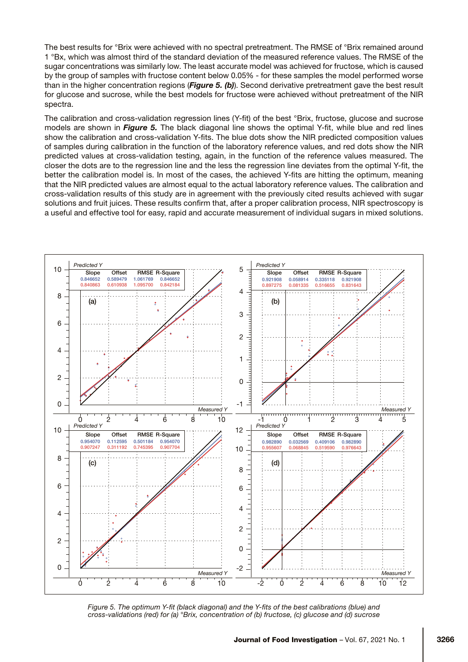The best results for °Brix were achieved with no spectral pretreatment. The RMSE of °Brix remained around 1 °Bx, which was almost third of the standard deviation of the measured reference values. The RMSE of the sugar concentrations was similarly low. The least accurate model was achieved for fructose, which is caused by the group of samples with fructose content below 0.05% - for these samples the model performed worse than in the higher concentration regions (*Figure 5. (b)*). Second derivative pretreatment gave the best result for glucose and sucrose, while the best models for fructose were achieved without pretreatment of the NIR spectra.

The calibration and cross-validation regression lines (Y-fit) of the best °Brix, fructose, glucose and sucrose models are shown in *Figure 5.* The black diagonal line shows the optimal Y-fit, while blue and red lines show the calibration and cross-validation Y-fits. The blue dots show the NIR predicted composition values of samples during calibration in the function of the laboratory reference values, and red dots show the NIR predicted values at cross-validation testing, again, in the function of the reference values measured. The closer the dots are to the regression line and the less the regression line deviates from the optimal Y-fit, the better the calibration model is. In most of the cases, the achieved Y-fits are hitting the optimum, meaning that the NIR predicted values are almost equal to the actual laboratory reference values. The calibration and cross-validation results of this study are in agreement with the previously cited results achieved with sugar solutions and fruit juices. These results confirm that, after a proper calibration process, NIR spectroscopy is a useful and effective tool for easy, rapid and accurate measurement of individual sugars in mixed solutions.

![](_page_7_Figure_2.jpeg)

*Figure 5. The optimum Y-fit (black diagonal) and the Y-fits of the best calibrations (blue) and cross-validations (red) for (a) °Brix, concentration of (b) fructose, (c) glucose and (d) sucrose*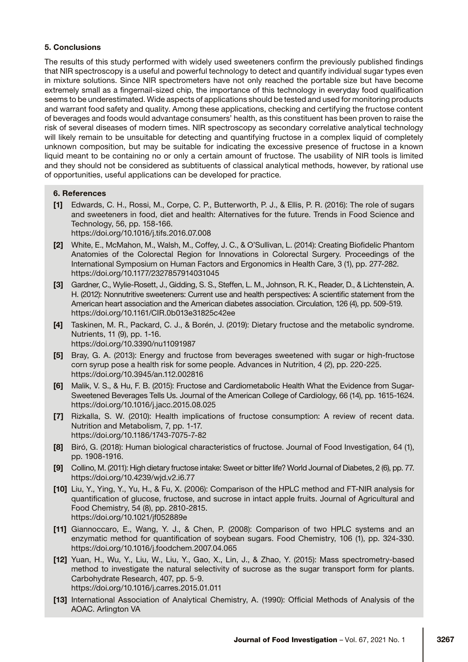## 5. Conclusions

The results of this study performed with widely used sweeteners confirm the previously published findings that NIR spectroscopy is a useful and powerful technology to detect and quantify individual sugar types even in mixture solutions. Since NIR spectrometers have not only reached the portable size but have become extremely small as a fingernail-sized chip, the importance of this technology in everyday food qualification seems to be underestimated. Wide aspects of applications should be tested and used for monitoring products and warrant food safety and quality. Among these applications, checking and certifying the fructose content of beverages and foods would advantage consumers' health, as this constituent has been proven to raise the risk of several diseases of modern times. NIR spectroscopy as secondary correlative analytical technology will likely remain to be unsuitable for detecting and quantifying fructose in a complex liquid of completely unknown composition, but may be suitable for indicating the excessive presence of fructose in a known liquid meant to be containing no or only a certain amount of fructose. The usability of NIR tools is limited and they should not be considered as subtituents of classical analytical methods, however, by rational use of opportunities, useful applications can be developed for practice.

## 6. References

- [1] Edwards, C. H., Rossi, M., Corpe, C. P., Butterworth, P. J., & Ellis, P. R. (2016): The role of sugars and sweeteners in food, diet and health: Alternatives for the future. Trends in Food Science and Technology, 56, pp. 158-166. <https://doi.org/10.1016/j.tifs.2016.07.008>
- [2] White, E., McMahon, M., Walsh, M., Coffey, J. C., & O'Sullivan, L. (2014): Creating Biofidelic Phantom Anatomies of the Colorectal Region for Innovations in Colorectal Surgery. Proceedings of the International Symposium on Human Factors and Ergonomics in Health Care, 3 (1), pp. 277-282. <https://doi.org/10.1177/2327857914031045>
- [3] Gardner, C., Wylie-Rosett, J., Gidding, S. S., Steffen, L. M., Johnson, R. K., Reader, D., & Lichtenstein, A. H. (2012): Nonnutritive sweeteners: Current use and health perspectives: A scientific statement from the American heart association and the American diabetes association. Circulation, 126 (4), pp. 509-519. <https://doi.org/10.1161/CIR.0b013e31825c42ee>
- [4] Taskinen, M. R., Packard, C. J., & Borén, J. (2019): Dietary fructose and the metabolic syndrome. Nutrients, 11 (9), pp. 1-16. <https://doi.org/10.3390/nu11091987>
- [5] Bray, G. A. (2013): Energy and fructose from beverages sweetened with sugar or high-fructose corn syrup pose a health risk for some people. Advances in Nutrition, 4 (2), pp. 220-225. <https://doi.org/10.3945/an.112.002816>
- [6] Malik, V. S., & Hu, F. B. (2015): Fructose and Cardiometabolic Health What the Evidence from Sugar-Sweetened Beverages Tells Us. Journal of the American College of Cardiology, 66 (14), pp. 1615-1624. <https://doi.org/10.1016/j.jacc.2015.08.025>
- [7] Rizkalla, S. W. (2010): Health implications of fructose consumption: A review of recent data. Nutrition and Metabolism, 7, pp. 1-17. <https://doi.org/10.1186/1743-7075-7-82>
- [8] Biró, G. (2018): Human biological characteristics of fructose. Journal of Food Investigation, 64 (1), pp. 1908-1916.
- [9] Collino, M. (2011): High dietary fructose intake: Sweet or bitter life? World Journal of Diabetes, 2 (6), pp. 77. <https://doi.org/10.4239/wjd.v2.i6.77>
- [10] Liu, Y., Ying, Y., Yu, H., & Fu, X. (2006): Comparison of the HPLC method and FT-NIR analysis for quantification of glucose, fructose, and sucrose in intact apple fruits. Journal of Agricultural and Food Chemistry, 54 (8), pp. 2810-2815. <https://doi.org/10.1021/jf052889e>
- [11] Giannoccaro, E., Wang, Y. J., & Chen, P. (2008): Comparison of two HPLC systems and an enzymatic method for quantification of soybean sugars. Food Chemistry, 106 (1), pp. 324-330. <https://doi.org/10.1016/j.foodchem.2007.04.065>
- [12] Yuan, H., Wu, Y., Liu, W., Liu, Y., Gao, X., Lin, J., & Zhao, Y. (2015): Mass spectrometry-based method to investigate the natural selectivity of sucrose as the sugar transport form for plants. Carbohydrate Research, 407, pp. 5-9. <https://doi.org/10.1016/j.carres.2015.01.011>
- [13] International Association of Analytical Chemistry, A. (1990): Official Methods of Analysis of the AOAC. Arlington VA